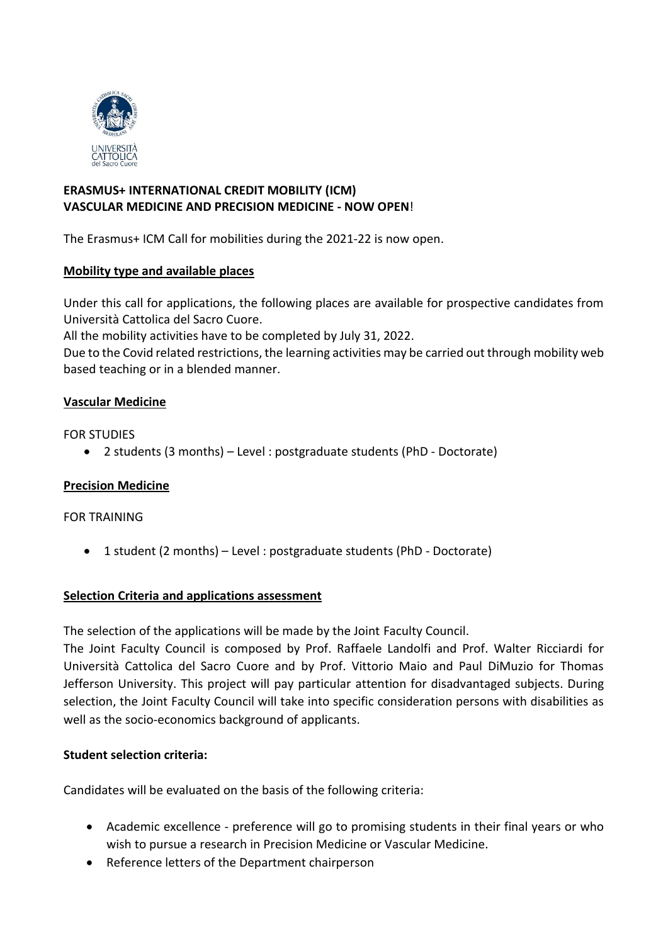

# **ERASMUS+ INTERNATIONAL CREDIT MOBILITY (ICM) VASCULAR MEDICINE AND PRECISION MEDICINE - NOW OPEN**!

The Erasmus+ ICM Call for mobilities during the 2021-22 is now open.

# **Mobility type and available places**

Under this call for applications, the following places are available for prospective candidates from Università Cattolica del Sacro Cuore.

All the mobility activities have to be completed by July 31, 2022.

Due to the Covid related restrictions, the learning activities may be carried out through mobility web based teaching or in a blended manner.

# **Vascular Medicine**

FOR STUDIES

2 students (3 months) – Level : postgraduate students (PhD - Doctorate)

# **Precision Medicine**

### FOR TRAINING

1 student (2 months) – Level : postgraduate students (PhD - Doctorate)

# **Selection Criteria and applications assessment**

The selection of the applications will be made by the Joint Faculty Council.

The Joint Faculty Council is composed by Prof. Raffaele Landolfi and Prof. Walter Ricciardi for Università Cattolica del Sacro Cuore and by Prof. Vittorio Maio and Paul DiMuzio for Thomas Jefferson University. This project will pay particular attention for disadvantaged subjects. During selection, the Joint Faculty Council will take into specific consideration persons with disabilities as well as the socio-economics background of applicants.

### **Student selection criteria:**

Candidates will be evaluated on the basis of the following criteria:

- Academic excellence preference will go to promising students in their final years or who wish to pursue a research in Precision Medicine or Vascular Medicine.
- Reference letters of the Department chairperson